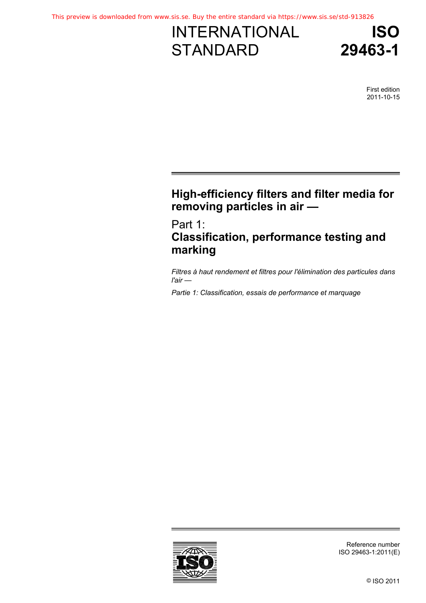



First edition 2011-10-15

# **[High-efficiency filters and filter media for](#page-6-0)  [removing particles in air —](#page-6-0)**

Part 1: **Classification, performance testing and marking** 

*[Filtres à haut rendement et filtres pour l'élimination des particules dans](#page-6-0)  [l'air —](#page-6-0)* 

*Partie 1: Classification, essais de performance et marquage* 



Reference number ISO 29463-1:2011(E)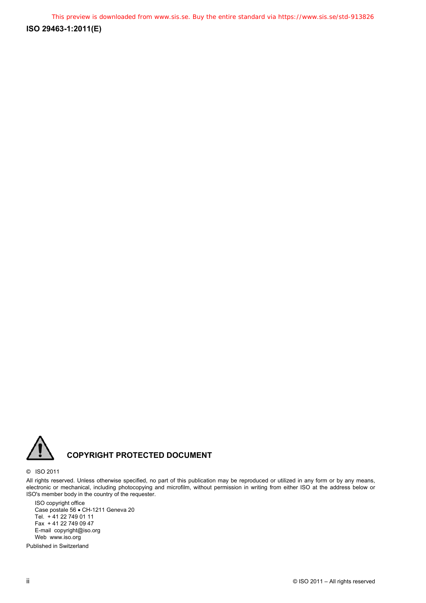**ISO 29463-1:2011(E)** 



### **COPYRIGHT PROTECTED DOCUMENT**

#### © ISO 2011

All rights reserved. Unless otherwise specified, no part of this publication may be reproduced or utilized in any form or by any means, electronic or mechanical, including photocopying and microfilm, without permission in writing from either ISO at the address below or ISO's member body in the country of the requester.

ISO copyright office Case postale 56 · CH-1211 Geneva 20 Tel. + 41 22 749 01 11 Fax + 41 22 749 09 47 E-mail copyright@iso.org Web www.iso.org

Published in Switzerland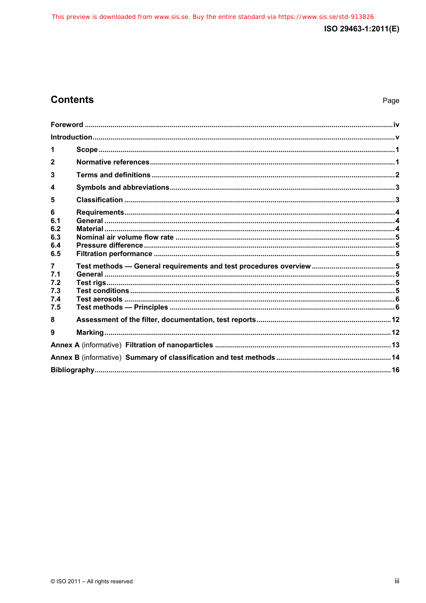ISO 29463-1:2011(E)

### **Contents**

Page

| 1                     |  |
|-----------------------|--|
| $\mathbf{2}$          |  |
| 3                     |  |
| 4                     |  |
| 5                     |  |
| 6<br>6.1              |  |
| 6.2<br>6.3            |  |
| 6.4<br>6.5            |  |
| $\overline{7}$<br>7.1 |  |
| 7.2<br>7.3            |  |
| 7.4<br>7.5            |  |
| 8                     |  |
| 9                     |  |
|                       |  |
|                       |  |
|                       |  |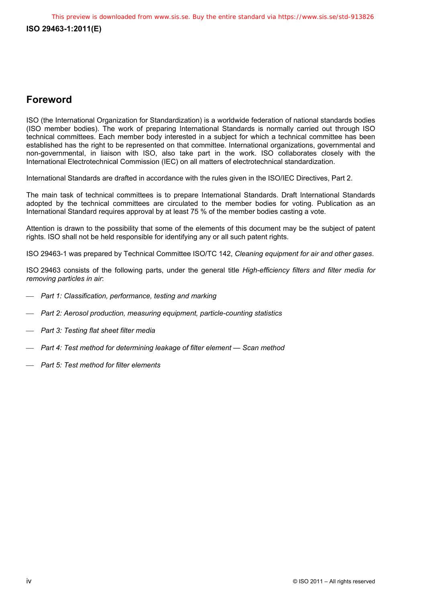## <span id="page-3-0"></span>**Foreword**

ISO (the International Organization for Standardization) is a worldwide federation of national standards bodies (ISO member bodies). The work of preparing International Standards is normally carried out through ISO technical committees. Each member body interested in a subject for which a technical committee has been established has the right to be represented on that committee. International organizations, governmental and non-governmental, in liaison with ISO, also take part in the work. ISO collaborates closely with the International Electrotechnical Commission (IEC) on all matters of electrotechnical standardization.

International Standards are drafted in accordance with the rules given in the ISO/IEC Directives, Part 2.

The main task of technical committees is to prepare International Standards. Draft International Standards adopted by the technical committees are circulated to the member bodies for voting. Publication as an International Standard requires approval by at least 75 % of the member bodies casting a vote.

Attention is drawn to the possibility that some of the elements of this document may be the subject of patent rights. ISO shall not be held responsible for identifying any or all such patent rights.

ISO 29463-1 was prepared by Technical Committee ISO/TC 142, *Cleaning equipment for air and other gases*.

ISO 29463 consists of the following parts, under the general title *High-efficiency filters and filter media for removing particles in air*:

- *Part 1: Classification, performance, testing and marking*
- *Part 2: Aerosol production, measuring equipment, particle-counting statistics*
- *Part 3: Testing flat sheet filter media*
- *Part 4: Test method for determining leakage of filter element Scan method*
- *Part 5: Test method for filter elements*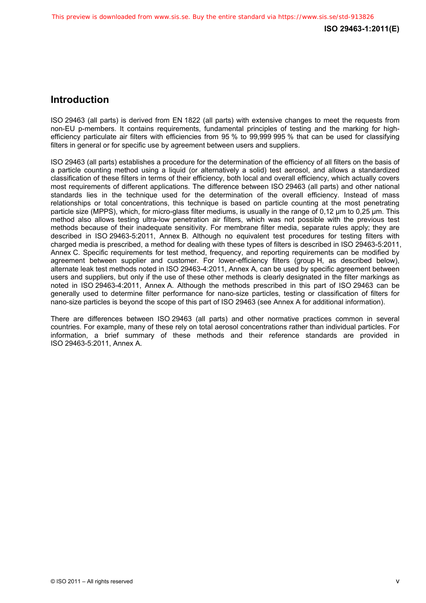### <span id="page-4-0"></span>**Introduction**

ISO 29463 (all parts) is derived from EN 1822 (all parts) with extensive changes to meet the requests from non-EU p-members. It contains requirements, fundamental principles of testing and the marking for highefficiency particulate air filters with efficiencies from 95 % to 99,999 995 % that can be used for classifying filters in general or for specific use by agreement between users and suppliers.

ISO 29463 (all parts) establishes a procedure for the determination of the efficiency of all filters on the basis of a particle counting method using a liquid (or alternatively a solid) test aerosol, and allows a standardized classification of these filters in terms of their efficiency, both local and overall efficiency, which actually covers most requirements of different applications. The difference between ISO 29463 (all parts) and other national standards lies in the technique used for the determination of the overall efficiency. Instead of mass relationships or total concentrations, this technique is based on particle counting at the most penetrating particle size (MPPS), which, for micro-glass filter mediums, is usually in the range of 0.12 um to 0.25 um. This method also allows testing ultra-low penetration air filters, which was not possible with the previous test methods because of their inadequate sensitivity. For membrane filter media, separate rules apply; they are described in ISO 29463-5:2011, Annex B. Although no equivalent test procedures for testing filters with charged media is prescribed, a method for dealing with these types of filters is described in ISO 29463-5:2011, Annex C. Specific requirements for test method, frequency, and reporting requirements can be modified by agreement between supplier and customer. For lower-efficiency filters (group H, as described below), alternate leak test methods noted in ISO 29463-4:2011, Annex A, can be used by specific agreement between users and suppliers, but only if the use of these other methods is clearly designated in the filter markings as noted in ISO 29463-4:2011, Annex A. Although the methods prescribed in this part of ISO 29463 can be generally used to determine filter performance for nano-size particles, testing or classification of filters for nano-size particles is beyond the scope of this part of ISO 29463 (see Annex A for additional information).

There are differences between ISO 29463 (all parts) and other normative practices common in several countries. For example, many of these rely on total aerosol concentrations rather than individual particles. For information, a brief summary of these methods and their reference standards are provided in ISO 29463-5:2011, Annex A.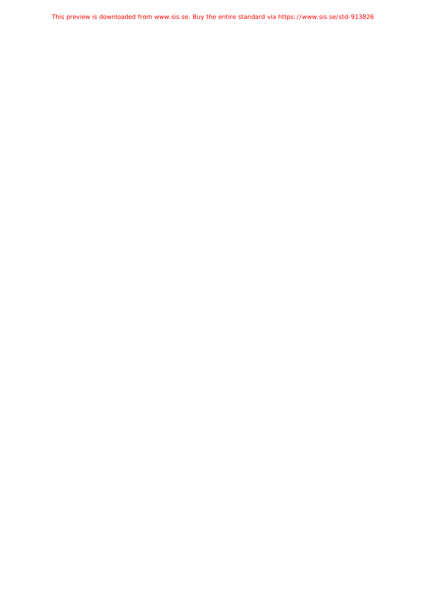This preview is downloaded from www.sis.se. Buy the entire standard via https://www.sis.se/std-913826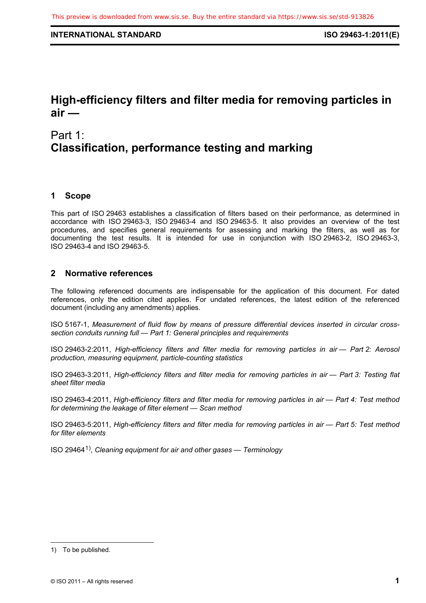#### **INTERNATIONAL STANDARD ISO 29463-1:2011(E)**

## **[High-efficiency filters and filter media for removing particles in](#page-6-0)  [air —](#page-6-0)**

## <span id="page-6-0"></span>Part 1: **Classification, performance testing and marking**

#### <span id="page-6-1"></span>**1 Scope**

This part of ISO 29463 establishes a classification of filters based on their performance, as determined in accordance with ISO 29463-3, ISO 29463-4 and ISO 29463-5. It also provides an overview of the test procedures, and specifies general requirements for assessing and marking the filters, as well as for documenting the test results. It is intended for use in conjunction with ISO 29463-2, ISO 29463-3, ISO 29463-4 and ISO 29463-5.

#### <span id="page-6-2"></span>**2 Normative references**

The following referenced documents are indispensable for the application of this document. For dated references, only the edition cited applies. For undated references, the latest edition of the referenced document (including any amendments) applies.

ISO 5167-1, *Measurement of fluid flow by means of pressure differential devices inserted in circular crosssection conduits running full — Part 1: General principles and requirements*

ISO 29463-2:2011, *High-efficiency filters and filter media for removing particles in air — Part 2: Aerosol production, measuring equipment, particle-counting statistics*

ISO 29463-3:2011, *High-efficiency filters and filter media for removing particles in air — Part 3: Testing flat sheet filter media*

ISO 29463-4:2011, *High-efficiency filters and filter media for removing particles in air — Part 4: Test method for determining the leakage of filter element — Scan method*

ISO 29463-5:2011, *High-efficiency filters and filter media for removing particles in air — Part 5: Test method for filter elements*

ISO 29464[1](#page-6-3)) , *Cleaning equipment for air and other gases — Terminology* 

1

<span id="page-6-3"></span><sup>1)</sup> To be published.